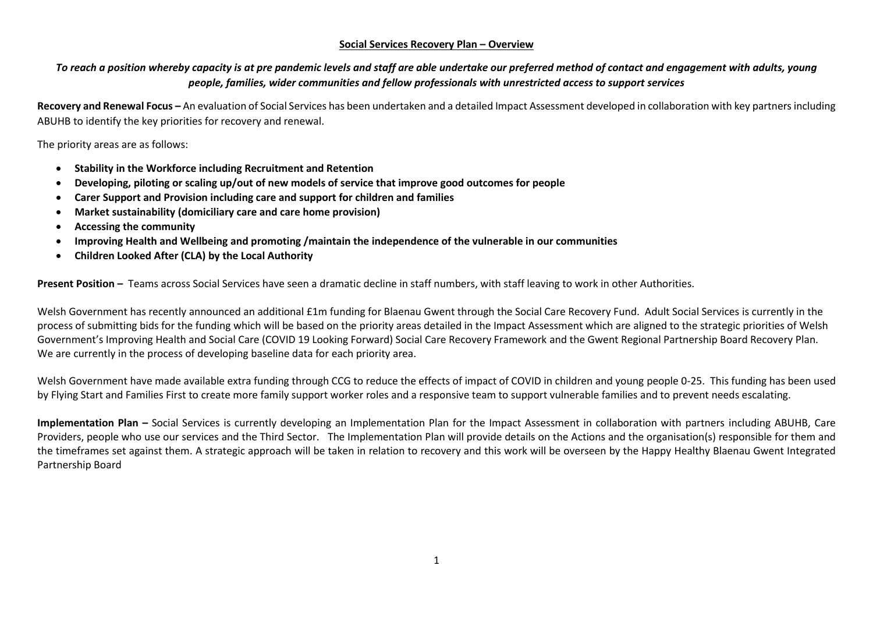## **Social Services Recovery Plan – Overview**

## *To reach a position whereby capacity is at pre pandemic levels and staff are able undertake our preferred method of contact and engagement with adults, young people, families, wider communities and fellow professionals with unrestricted access to support services*

**Recovery and Renewal Focus –** An evaluation of Social Services has been undertaken and a detailed Impact Assessment developed in collaboration with key partners including ABUHB to identify the key priorities for recovery and renewal.

The priority areas are as follows:

- **Stability in the Workforce including Recruitment and Retention**
- **Developing, piloting or scaling up/out of new models of service that improve good outcomes for people**
- **Carer Support and Provision including care and support for children and families**
- **Market sustainability (domiciliary care and care home provision)**
- **Accessing the community**
- **Improving Health and Wellbeing and promoting /maintain the independence of the vulnerable in our communities**
- **Children Looked After (CLA) by the Local Authority**

**Present Position –** Teams across Social Services have seen a dramatic decline in staff numbers, with staff leaving to work in other Authorities.

Welsh Government has recently announced an additional £1m funding for Blaenau Gwent through the Social Care Recovery Fund. Adult Social Services is currently in the process of submitting bids for the funding which will be based on the priority areas detailed in the Impact Assessment which are aligned to the strategic priorities of Welsh Government's Improving Health and Social Care (COVID 19 Looking Forward) Social Care Recovery Framework and the Gwent Regional Partnership Board Recovery Plan. We are currently in the process of developing baseline data for each priority area.

Welsh Government have made available extra funding through CCG to reduce the effects of impact of COVID in children and young people 0-25. This funding has been used by Flying Start and Families First to create more family support worker roles and a responsive team to support vulnerable families and to prevent needs escalating.

**Implementation Plan –** Social Services is currently developing an Implementation Plan for the Impact Assessment in collaboration with partners including ABUHB, Care Providers, people who use our services and the Third Sector. The Implementation Plan will provide details on the Actions and the organisation(s) responsible for them and the timeframes set against them. A strategic approach will be taken in relation to recovery and this work will be overseen by the Happy Healthy Blaenau Gwent Integrated Partnership Board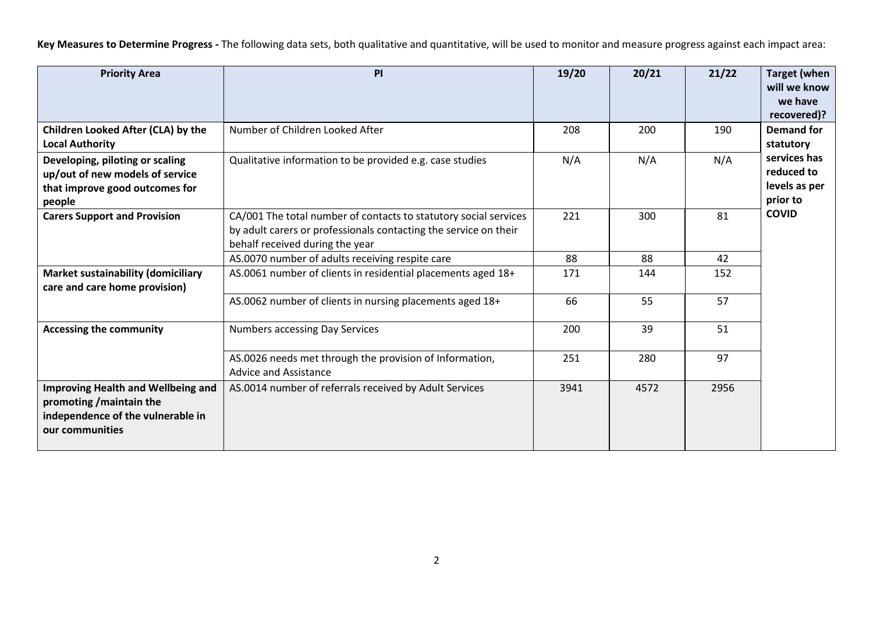**Key Measures to Determine Progress -** The following data sets, both qualitative and quantitative, will be used to monitor and measure progress against each impact area:

| <b>Priority Area</b>                                                                                                          | PI                                                                                                                                                                      | 19/20 | 20/21 | 21/22 | <b>Target (when</b><br>will we know<br>we have<br>recovered)?           |
|-------------------------------------------------------------------------------------------------------------------------------|-------------------------------------------------------------------------------------------------------------------------------------------------------------------------|-------|-------|-------|-------------------------------------------------------------------------|
| Children Looked After (CLA) by the<br><b>Local Authority</b>                                                                  | Number of Children Looked After                                                                                                                                         | 208   | 200   | 190   | <b>Demand for</b><br>statutory                                          |
| Developing, piloting or scaling<br>up/out of new models of service<br>that improve good outcomes for<br>people                | Qualitative information to be provided e.g. case studies                                                                                                                | N/A   | N/A   | N/A   | services has<br>reduced to<br>levels as per<br>prior to<br><b>COVID</b> |
| <b>Carers Support and Provision</b>                                                                                           | CA/001 The total number of contacts to statutory social services<br>by adult carers or professionals contacting the service on their<br>behalf received during the year | 221   | 300   | 81    |                                                                         |
|                                                                                                                               | AS.0070 number of adults receiving respite care                                                                                                                         | 88    | 88    | 42    |                                                                         |
| <b>Market sustainability (domiciliary</b><br>care and care home provision)                                                    | AS.0061 number of clients in residential placements aged 18+                                                                                                            | 171   | 144   | 152   |                                                                         |
|                                                                                                                               | AS.0062 number of clients in nursing placements aged 18+                                                                                                                | 66    | 55    | 57    |                                                                         |
| <b>Accessing the community</b>                                                                                                | <b>Numbers accessing Day Services</b>                                                                                                                                   | 200   | 39    | 51    |                                                                         |
|                                                                                                                               | AS.0026 needs met through the provision of Information,<br>Advice and Assistance                                                                                        | 251   | 280   | 97    |                                                                         |
| <b>Improving Health and Wellbeing and</b><br>promoting / maintain the<br>independence of the vulnerable in<br>our communities | AS.0014 number of referrals received by Adult Services                                                                                                                  | 3941  | 4572  | 2956  |                                                                         |